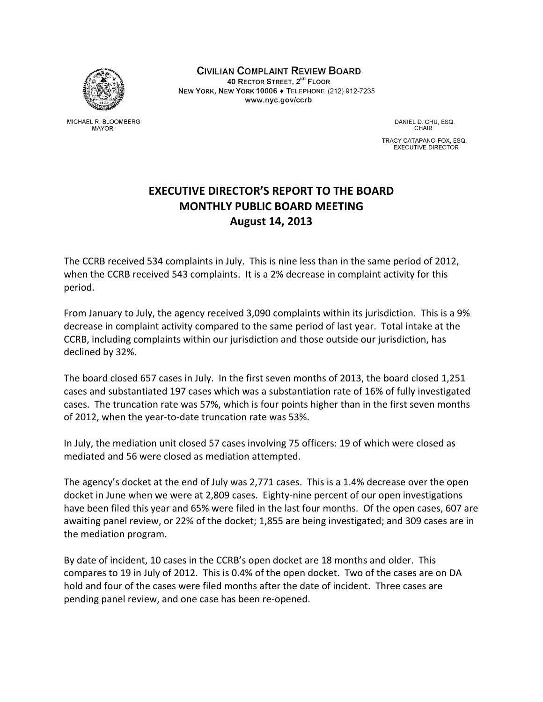

MICHAEL R. BLOOMBERG **MAYOR** 

**CIVILIAN COMPLAINT REVIEW BOARD** 40 RECTOR STREET, 2<sup>ND</sup> FLOOR NEW YORK, NEW YORK 10006 + TELEPHONE (212) 912-7235 www.nyc.gov/ccrb

> DANIEL D. CHU, ESQ. CHAIR

TRACY CATAPANO-FOX, ESQ. **EXECUTIVE DIRECTOR** 

## **EXECUTIVE DIRECTOR'S REPORT TO THE BOARD MONTHLY PUBLIC BOARD MEETING August 14, 2013**

The CCRB received 534 complaints in July. This is nine less than in the same period of 2012, when the CCRB received 543 complaints. It is a 2% decrease in complaint activity for this period.

From January to July, the agency received 3,090 complaints within its jurisdiction. This is a 9% decrease in complaint activity compared to the same period of last year. Total intake at the CCRB, including complaints within our jurisdiction and those outside our jurisdiction, has declined by 32%.

The board closed 657 cases in July. In the first seven months of 2013, the board closed 1,251 cases and substantiated 197 cases which was a substantiation rate of 16% of fully investigated cases. The truncation rate was 57%, which is four points higher than in the first seven months of 2012, when the year‐to‐date truncation rate was 53%.

In July, the mediation unit closed 57 cases involving 75 officers: 19 of which were closed as mediated and 56 were closed as mediation attempted.

The agency's docket at the end of July was 2,771 cases. This is a 1.4% decrease over the open docket in June when we were at 2,809 cases. Eighty‐nine percent of our open investigations have been filed this year and 65% were filed in the last four months. Of the open cases, 607 are awaiting panel review, or 22% of the docket; 1,855 are being investigated; and 309 cases are in the mediation program.

By date of incident, 10 cases in the CCRB's open docket are 18 months and older. This compares to 19 in July of 2012. This is 0.4% of the open docket. Two of the cases are on DA hold and four of the cases were filed months after the date of incident. Three cases are pending panel review, and one case has been re‐opened.